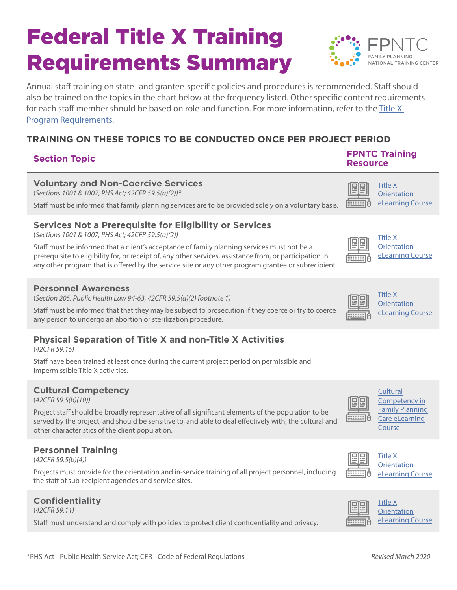# Federal Title X Training Requirements Summary



Annual staff training on state- and grantee-specific policies and procedures is recommended. Staff should also be trained on the topics in the chart below at the frequency listed. Other specific content requirements for each staff member should be based on role and function. For more information, refer to the [Title X](https://www.hhs.gov/opa/guidelines/program-guidelines/program-requirements/index.html)  [Program Requirements](https://www.hhs.gov/opa/guidelines/program-guidelines/program-requirements/index.html).

### **TRAINING ON THESE TOPICS TO BE CONDUCTED ONCE PER PROJECT PERIOD**

### **Section Topic FPNTC Training**

#### **Voluntary and Non-Coercive Services**

(*Sections 1001 & 1007, PHS Act; 42CFR 59.5(a)(2))\**

Staff must be informed that family planning services are to be provided solely on a voluntary basis.

#### **Services Not a Prerequisite for Eligibility or Services**

(*Sections 1001 & 1007, PHS Act; 42CFR 59.5(a)(2))*

Staff must be informed that a client's acceptance of family planning services must not be a prerequisite to eligibility for, or receipt of, any other services, assistance from, or participation in any other program that is offered by the service site or any other program grantee or subrecipient.

#### **Personnel Awareness**

(*Section 205, Public Health Law 94-63, 42CFR 59.5(a)(2) footnote 1)*

Staff must be informed that that they may be subject to prosecution if they coerce or try to coerce any person to undergo an abortion or sterilization procedure.

#### **Physical Separation of Title X and non-Title X Activities**

(*42CFR 59.15)*

Staff have been trained at least once during the current project period on permissible and impermissible Title X activities.

#### **Cultural Competency**

(*42CFR 59.5(b)(10))*

Project staff should be broadly representative of all significant elements of the population to be served by the project, and should be sensitive to, and able to deal effectively with, the cultural and other characteristics of the client population.

#### **Personnel Training**

(*42CFR 59.5(b)(4))*

Projects must provide for the orientation and in-service training of all project personnel, including the staff of sub-recipient agencies and service sites.

#### **Confidentiality**

(*42CFR 59.11)*

Staff must understand and comply with policies to protect client confidentiality and privacy.

#### **Resource** [Title X](https://www.fpntc.org/resources/title-x-orientation-program-requirements-title-x-funded-family-planning-projects)  의목



| IILIE <sub>N</sub> |  |
|--------------------|--|
| <b>Orientation</b> |  |
| eLearning Course   |  |

| <br>$\sim$<br>٠ |  |
|-----------------|--|

itle X **I**rientation **Learning Course** 



[Title X](https://www.fpntc.org/resources/title-x-orientation-program-requirements-title-x-funded-family-planning-projects)  **[Orientation](https://www.fpntc.org/resources/title-x-orientation-program-requirements-title-x-funded-family-planning-projects)** eLearning Course



**Cultural** [Competency in](https://www.fpntc.org/resources/cultural-competency-family-planning-care-elearning ) Family [Planning](https://www.fpntc.org/resources/cultural-competency-family-planning-care-elearning )  Care eLearning Course



[Title X](https://www.fpntc.org/resources/title-x-orientation-program-requirements-title-x-funded-family-planning-projects) **[Orientation](https://www.fpntc.org/resources/title-x-orientation-program-requirements-title-x-funded-family-planning-projects)** eLearning Course